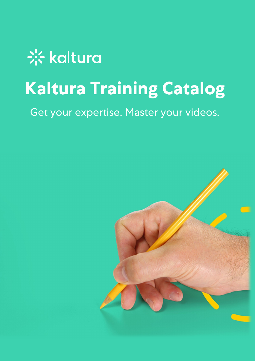# \*\* kaltura **Kaltura Training Catalog**

Get your expertise. Master your videos.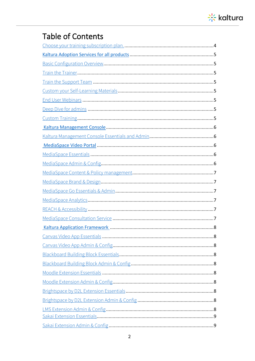

#### **Table of Contents**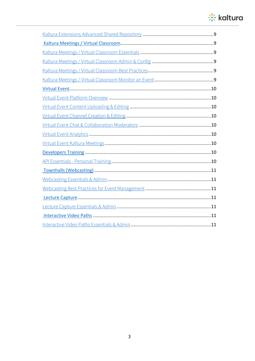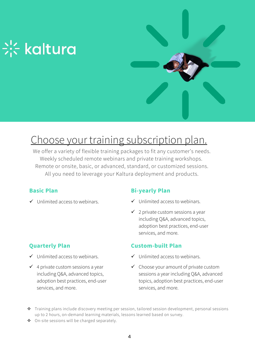

# Choose your training subscription plan.

We offer a variety of flexible training packages to fit any customer's needs. Weekly scheduled remote webinars and private training workshops. Remote or onsite, basic, or advanced, standard, or customized sessions. All you need to leverage your Kaltura deployment and products.

#### **Basic Plan**

 $\checkmark$  Unlimited access to webinars.

#### **Quarterly Plan**

- $\checkmark$  Unlimited access to webinars.
- $\checkmark$  4 private custom sessions a year including Q&A, advanced topics, adoption best practices, end-user services, and more.

#### **Bi-yearly Plan**

- $\checkmark$  Unlimited access to webinars.
- $\checkmark$  2 private custom sessions a year including Q&A, advanced topics, adoption best practices, end-user services, and more.

#### **Custom-built Plan**

- $\checkmark$  Unlimited access to webinars.
- $\checkmark$  Choose your amount of private custom sessions a year including Q&A, advanced topics, adoption best practices, end-user services, and more.
- \* Training plans include discovery meeting per session, tailored session development, personal sessions up to 2 hours, on-demand learning materials, lessons learned based on survey.
- ◆ On-site sessions will be charged separately.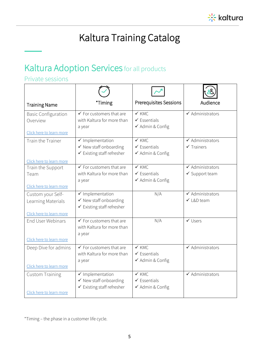

# Kaltura Training Catalog

## Kaltura Adoption Services for all products

#### Private sessions

T,

| <b>Training Name</b>                                                | *Timing                                                                                        | <b>Prerequisites Sessions</b>                                   | Audience                                                 |
|---------------------------------------------------------------------|------------------------------------------------------------------------------------------------|-----------------------------------------------------------------|----------------------------------------------------------|
| <b>Basic Configuration</b><br>Overview<br>Click here to learn more  | $\checkmark$ For customers that are<br>with Kaltura for more than<br>a year                    | $\checkmark$ KMC<br>$\checkmark$ Essentials<br>✔ Admin & Config | $\checkmark$ Administrators                              |
| Train the Trainer<br>Click here to learn more                       | $\checkmark$ Implementation<br>$\checkmark$ New staff onboarding<br>✔ Existing staff refresher | $\times$ KMC<br>$\checkmark$ Essentials<br>✔ Admin & Config     | $\checkmark$ Administrators<br>$\checkmark$ Trainers     |
| Train the Support<br>Team<br>Click here to learn more               | $\checkmark$ For customers that are<br>with Kaltura for more than<br>a year                    | $\checkmark$ KMC<br>$\checkmark$ Essentials<br>✔ Admin & Config | $\checkmark$ Administrators<br>$\checkmark$ Support team |
| Custom your Self-<br>Learning Materials<br>Click here to learn more | $\checkmark$ Implementation<br>✔ New staff onboarding<br>✔ Existing staff refresher            | N/A                                                             | $\checkmark$ Administrators<br>√ L&D team                |
| End User Webinars<br>Click here to learn more                       | $\checkmark$ For customers that are<br>with Kaltura for more than<br>a year                    | N/A                                                             | $\checkmark$ Users                                       |
| Deep Dive for admins<br>Click here to learn more                    | $\checkmark$ For customers that are<br>with Kaltura for more than<br>a year                    | $\checkmark$ KMC<br>$\checkmark$ Essentials<br>✔ Admin & Config | $\checkmark$ Administrators                              |
| <b>Custom Training</b><br>Click here to learn more                  | $\checkmark$ Implementation<br>✔ New staff onboarding<br>$\checkmark$ Existing staff refresher | $\checkmark$ KMC<br>$\checkmark$ Essentials<br>✔ Admin & Config | $\checkmark$ Administrators                              |

\*Timing – the phase in a customer life cycle.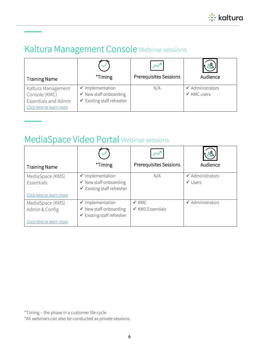

## Kaltura Management Console Webinar sessions

| <b>Training Name</b>                                                                           | *Timing                                                                                                   | <b>Prerequisites Sessions</b> | Audience                                              |
|------------------------------------------------------------------------------------------------|-----------------------------------------------------------------------------------------------------------|-------------------------------|-------------------------------------------------------|
| Kaltura Management<br>Console (KMC)<br><b>Essentials and Admin</b><br>Click here to learn more | $\checkmark$ Implementation<br>$\checkmark$ New staff onboarding<br>$\checkmark$ Existing staff refresher | N/A                           | $\checkmark$ Administrators<br>$\checkmark$ KMC users |

### MediaSpace Video Portal Webinar sessions

| <b>Training Name</b>               | *Timing                                                                                                   | <b>Prerequisites Sessions</b>                   | Audience                                          |
|------------------------------------|-----------------------------------------------------------------------------------------------------------|-------------------------------------------------|---------------------------------------------------|
| MediaSpace (KMS)<br>Essentials     | $\checkmark$ Implementation<br>$\checkmark$ New staff onboarding<br>$\checkmark$ Existing staff refresher | N/A                                             | $\checkmark$ Administrators<br>$\checkmark$ Users |
| Click here to learn more           |                                                                                                           |                                                 |                                                   |
| MediaSpace (KMS)<br>Admin & Config | $\checkmark$ Implementation<br>$\checkmark$ New staff onboarding<br>$\checkmark$ Existing staff refresher | $\checkmark$ KMC<br>$\checkmark$ KMS Essentials | $\checkmark$ Administrators                       |
| Click here to learn more           |                                                                                                           |                                                 |                                                   |

\*Timing – the phase in a customer life cycle

\*All webinars can also be conducted as private sessions.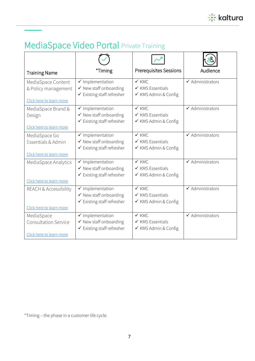

# MediaSpace Video Portal Private Training

| <b>Training Name</b>                                         | *Timing                                                                             | <b>Prerequisites Sessions</b>                                           | Audience                    |
|--------------------------------------------------------------|-------------------------------------------------------------------------------------|-------------------------------------------------------------------------|-----------------------------|
| MediaSpace Content                                           | $\checkmark$ Implementation                                                         | $\checkmark$ KMC                                                        | $\checkmark$ Administrators |
| & Policy management                                          | ✔ New staff onboarding                                                              | $\checkmark$ KMS Essentials                                             |                             |
| Click here to learn more                                     | ✔ Existing staff refresher                                                          | ✔ KMS Admin & Config                                                    |                             |
| MediaSpace Brand &                                           | $\checkmark$ Implementation                                                         | $\checkmark$ KMC                                                        | $\checkmark$ Administrators |
| Design                                                       | ✔ New staff onboarding                                                              | $\checkmark$ KMS Essentials                                             |                             |
| Click here to learn more                                     | ✔ Existing staff refresher                                                          | ✔ KMS Admin & Config                                                    |                             |
| MediaSpace Go                                                | $\checkmark$ Implementation                                                         | $\checkmark$ KMC                                                        | $\checkmark$ Administrators |
| Essentials & Admin                                           | $\checkmark$ New staff onboarding                                                   | $\checkmark$ KMS Essentials                                             |                             |
| Click here to learn more                                     | ✔ Existing staff refresher                                                          | ✔ KMS Admin & Config                                                    |                             |
| MediaSpace Analytics<br>Click here to learn more             | $\checkmark$ Implementation<br>✔ New staff onboarding<br>✔ Existing staff refresher | $\checkmark$ KMC<br>$\checkmark$ KMS Essentials<br>✔ KMS Admin & Config | $\checkmark$ Administrators |
| <b>REACH &amp; Accessibility</b><br>Click here to learn more | $\checkmark$ Implementation<br>√ New staff onboarding<br>✔ Existing staff refresher | $\checkmark$ KMC<br>$\checkmark$ KMS Essentials<br>✔ KMS Admin & Config | $\checkmark$ Administrators |
| MediaSpace                                                   | $\checkmark$ Implementation                                                         | $\checkmark$ KMC                                                        | $\checkmark$ Administrators |
| <b>Consultation Service</b>                                  | ✔ New staff onboarding                                                              | $\checkmark$ KMS Essentials                                             |                             |
| Click here to learn more                                     | ✔ Existing staff refresher                                                          | ✔ KMS Admin & Config                                                    |                             |

\*Timing – the phase in a customer life cycle.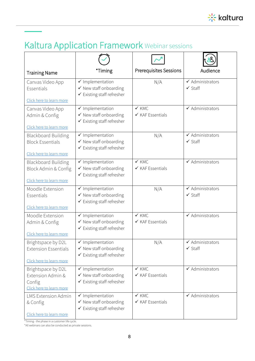

# Kaltura Application Framework Webinar sessions

| <b>Training Name</b>                                                              | *Timing                                                                                        | <b>Prerequisites Sessions</b>                   | Audience                                          |
|-----------------------------------------------------------------------------------|------------------------------------------------------------------------------------------------|-------------------------------------------------|---------------------------------------------------|
| Canvas Video App<br>Essentials<br>Click here to learn more                        | ✔ Implementation<br>✔ New staff onboarding<br>✔ Existing staff refresher                       | N/A                                             | $\checkmark$ Administrators<br>$\checkmark$ Staff |
| Canvas Video App<br>Admin & Config<br>Click here to learn more                    | ✔ Implementation<br>✔ New staff onboarding<br>✔ Existing staff refresher                       | $\checkmark$ KMC<br>$\checkmark$ KAF Essentials | $\checkmark$ Administrators                       |
| <b>Blackboard Building</b><br><b>Block Essentials</b><br>Click here to learn more | ✔ Implementation<br>✔ New staff onboarding<br>✔ Existing staff refresher                       | N/A                                             | $\checkmark$ Administrators<br>$\checkmark$ Staff |
| <b>Blackboard Building</b><br>Block Admin & Config<br>Click here to learn more    | $\checkmark$ Implementation<br>✔ New staff onboarding<br>$\checkmark$ Existing staff refresher | $\checkmark$ KMC<br>$\checkmark$ KAF Essentials | $\checkmark$ Administrators                       |
| Moodle Extension<br>Essentials<br>Click here to learn more                        | $\checkmark$ Implementation<br>✔ New staff onboarding<br>✔ Existing staff refresher            | N/A                                             | $\checkmark$ Administrators<br>$\checkmark$ Staff |
| Moodle Extension<br>Admin & Config<br>Click here to learn more                    | ✔ Implementation<br>✔ New staff onboarding<br>$\checkmark$ Existing staff refresher            | $\checkmark$ KMC<br>$\checkmark$ KAF Essentials | $\checkmark$ Administrators                       |
| Brightspace by D2L<br><b>Extension Essentials</b><br>Click here to learn more     | $\checkmark$ Implementation<br>✔ New staff onboarding<br>✔ Existing staff refresher            | N/A                                             | $\checkmark$ Administrators<br>$\checkmark$ Staff |
| Brightspace by D2L<br>Extension Admin &<br>Config<br>Click here to learn more     | $\checkmark$ Implementation<br>√ New staff onboarding<br>✔ Existing staff refresher            | $\checkmark$ KMC<br>$\checkmark$ KAF Essentials | $\checkmark$ Administrators                       |
| <b>LMS Extension Admin</b><br>& Config<br>Click here to learn more                | $\checkmark$ Implementation<br>√ New staff onboarding<br>✔ Existing staff refresher            | $\checkmark$ KMC<br>$\checkmark$ KAF Essentials | $\checkmark$ Administrators                       |

\*Timing - the phase in a customer life cycle.

\*All webinars can also be conducted as private sessions.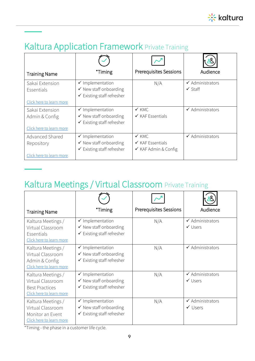

## Kaltura Application Framework Private Training

| <b>Training Name</b>              | *Timing                                                                                                   | <b>Prerequisites Sessions</b>                                           | Audience                                          |
|-----------------------------------|-----------------------------------------------------------------------------------------------------------|-------------------------------------------------------------------------|---------------------------------------------------|
| Sakai Extension<br>Essentials     | $\checkmark$ Implementation<br>$\checkmark$ New staff onboarding<br>$\checkmark$ Existing staff refresher | N/A                                                                     | $\checkmark$ Administrators<br>$\checkmark$ Staff |
| Click here to learn more          |                                                                                                           |                                                                         |                                                   |
| Sakai Extension<br>Admin & Config | $\checkmark$ Implementation<br>$\checkmark$ New staff onboarding<br>$\checkmark$ Existing staff refresher | $\checkmark$ KMC<br>$\checkmark$ KAF Essentials                         | $\checkmark$ Administrators                       |
| Click here to learn more          |                                                                                                           |                                                                         |                                                   |
| Advanced Shared<br>Repository     | $\checkmark$ Implementation<br>$\checkmark$ New staff onboarding<br>$\checkmark$ Existing staff refresher | $\checkmark$ KMC<br>$\checkmark$ KAF Essentials<br>✔ KAF Admin & Config | $\checkmark$ Administrators                       |
| Click here to learn more          |                                                                                                           |                                                                         |                                                   |

# Kaltura Meetings / Virtual Classroom Private Training

| <b>Training Name</b>                                                                         | *Timing                                                                                                   | <b>Prerequisites Sessions</b> | Audience                                          |
|----------------------------------------------------------------------------------------------|-----------------------------------------------------------------------------------------------------------|-------------------------------|---------------------------------------------------|
| Kaltura Meetings /<br>Virtual Classroom<br>Essentials<br>Click here to learn more            | $\checkmark$ Implementation<br>$\checkmark$ New staff onboarding<br>$\checkmark$ Existing staff refresher | N/A                           | $\checkmark$ Administrators<br>$\checkmark$ Users |
| Kaltura Meetings /<br>Virtual Classroom<br>Admin & Config<br>Click here to learn more        | $\checkmark$ Implementation<br>$\checkmark$ New staff onboarding<br>$\checkmark$ Existing staff refresher | N/A                           | $\checkmark$ Administrators                       |
| Kaltura Meetings /<br>Virtual Classroom<br><b>Best Practices</b><br>Click here to learn more | $\checkmark$ Implementation<br>$\checkmark$ New staff onboarding<br>$\checkmark$ Existing staff refresher | N/A                           | $\checkmark$ Administrators<br>$\checkmark$ Users |
| Kaltura Meetings /<br>Virtual Classroom<br>Monitor an Event<br>Click here to learn more      | $\checkmark$ Implementation<br>$\checkmark$ New staff onboarding<br>$\checkmark$ Existing staff refresher | N/A                           | $\checkmark$ Administrators<br>$\checkmark$ Users |

\*Timing - the phase in a customer life cycle.

j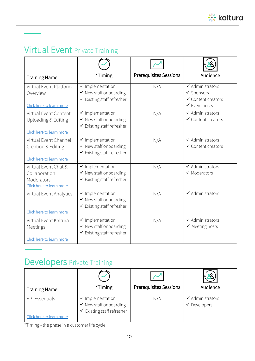

# Virtual Event Private Training

Ī

| <b>Training Name</b>                                                            | *Timing                                                                                                   | <b>Prerequisites Sessions</b> | Audience                                                                                                          |
|---------------------------------------------------------------------------------|-----------------------------------------------------------------------------------------------------------|-------------------------------|-------------------------------------------------------------------------------------------------------------------|
| Virtual Event Platform<br>Overview<br>Click here to learn more                  | $\checkmark$ Implementation<br>$\checkmark$ New staff onboarding<br>$\checkmark$ Existing staff refresher | N/A                           | $\checkmark$ Administrators<br>$\checkmark$ Sponsors<br>$\checkmark$ Content creators<br>$\checkmark$ Event hosts |
| Virtual Event Content<br>Uploading & Editing<br>Click here to learn more        | $\checkmark$ Implementation<br>$\checkmark$ New staff onboarding<br>$\checkmark$ Existing staff refresher | N/A                           | $\checkmark$ Administrators<br>$\checkmark$ Content creators                                                      |
| Virtual Event Channel<br>Creation & Editing<br>Click here to learn more         | $\checkmark$ Implementation<br>✔ New staff onboarding<br>$\checkmark$ Existing staff refresher            | N/A                           | $\checkmark$ Administrators<br>$\checkmark$ Content creators                                                      |
| Virtual Event Chat &<br>Collaboration<br>Moderators<br>Click here to learn more | $\checkmark$ Implementation<br>$\checkmark$ New staff onboarding<br>✔ Existing staff refresher            | N/A                           | $\checkmark$ Administrators<br>$\checkmark$ Moderators                                                            |
| Virtual Event Analytics<br>Click here to learn more                             | $\checkmark$ Implementation<br>$\checkmark$ New staff onboarding<br>$\checkmark$ Existing staff refresher | N/A                           | $\overline{\checkmark}$ Administrators                                                                            |
| Virtual Event Kaltura<br>Meetings<br>Click here to learn more                   | $\checkmark$ Implementation<br>✔ New staff onboarding<br>$\checkmark$ Existing staff refresher            | N/A                           | $\checkmark$ Administrators<br>$\checkmark$ Meeting hosts                                                         |

# Developers Private Training

| <b>Training Name</b>                              | *Timing                                                                                      | <b>Prerequisites Sessions</b> | Audience                                                     |
|---------------------------------------------------|----------------------------------------------------------------------------------------------|-------------------------------|--------------------------------------------------------------|
| <b>API Essentials</b><br>Click here to learn more | Implementation<br>$\checkmark$ New staff onboarding<br>$\checkmark$ Existing staff refresher | N/A                           | Administrators<br>$\checkmark$<br>Developers<br>$\checkmark$ |

\*Timing - the phase in a customer life cycle.